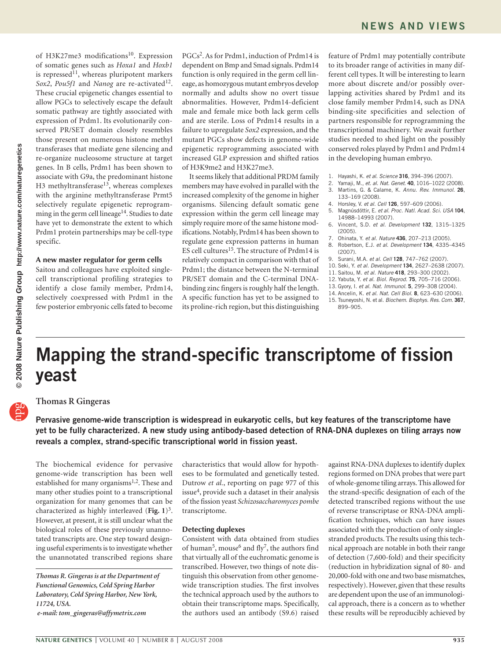of H3K27me3 modifications<sup>10</sup>. Expression of somatic genes such as *Hoxa1* and *Hoxb1* is repressed<sup>11</sup>, whereas pluripotent markers *Sox2*, *Pou5f1* and *Nanog* are re-activated<sup>12</sup>. These crucial epigenetic changes essential to allow PGCs to selectively escape the default somatic pathway are tightly associated with expression of Prdm1. Its evolutionarily conserved PR/SET domain closely resembles those present on numerous histone methyl transferases that mediate gene silencing and re-organize nucleosome structure at target genes. In B cells, Prdm1 has been shown to associate with G9a, the predominant histone H3 methyltransferase<sup>13</sup>, whereas complexes with the arginine methyltransferase Prmt5 selectively regulate epigenetic reprogramming in the germ cell lineage<sup>14</sup>. Studies to date have yet to demonstrate the extent to which Prdm1 protein partnerships may be cell-type specific.

## **A new master regulator for germ cells**

Saitou and colleagues have exploited singlecell transcriptional profiling strategies to identify a close family member, Prdm14, selectively coexpressed with Prdm1 in the few posterior embryonic cells fated to become

PGCs2. As for Prdm1, induction of Prdm14 is dependent on Bmp and Smad signals. Prdm14 function is only required in the germ cell lineage, as homozygous mutant embryos develop normally and adults show no overt tissue abnormalities. However, Prdm14-deficient male and female mice both lack germ cells and are sterile. Loss of Prdm14 results in a failure to upregulate *Sox2* expression, and the mutant PGCs show defects in genome-wide epigenetic reprogramming associated with increased GLP expression and shifted ratios of H3K9me2 and H3K27me3.

It seems likely that additional PRDM family members may have evolved in parallel with the increased complexity of the genome in higher organisms. Silencing default somatic gene expression within the germ cell lineage may simply require more of the same histone modifications. Notably, Prdm14 has been shown to regulate gene expression patterns in human ES cell cultures<sup>15</sup>. The structure of Prdm14 is relatively compact in comparison with that of Prdm1; the distance between the N-terminal PR/SET domain and the C-terminal DNAbinding zinc fingers is roughly half the length. A specific function has yet to be assigned to its proline-rich region, but this distinguishing

feature of Prdm1 may potentially contribute to its broader range of activities in many different cell types. It will be interesting to learn more about discrete and/or possibly overlapping activities shared by Prdm1 and its close family member Prdm14, such as DNA binding-site specificities and selection of partners responsible for reprogramming the transcriptional machinery. We await further studies needed to shed light on the possibly conserved roles played by Prdm1 and Prdm14 in the developing human embryo.

- 1. Hayashi, K. *et al. Science* **316**, 394–396 (2007).
- 2. Yamaji, M., *et. al. Nat. Genet*. **40**, 1016–1022 (2008). 3. Martins, G. & Calame, K. *Annu. Rev. Immunol.* **26**, 133–169 (2008).
- 4. Horsley, V. *et al. Cell* **126**, 597–609 (2006).
- 5. Magnúsdóttir, E. *et al. Proc. Natl. Acad. Sci. USA* **104**, 14988–14993 (2007).
- 6. Vincent, S.D. *et al. Development* **132**, 1315–1325 (2005).
- 
- 7. Ohinata, Y. *et al. Nature* **436**, 207–213 (2005). 8. Robertson, E.J. *et al. Development* **134**, 4335–4345 (2007).
- 9. Surani, M.A. *et al. Cell* **128**, 747–762 (2007).
- 10. Seki, Y. *et al. Development* **134**, 2627–2638 (2007).
- 11. Saitou, M. *et al. Nature* **418**, 293–300 (2002).
- 12. Yabuta, Y. *et al. Biol. Reprod.* **75**, 705–716 (2006).
- 13. Gyory, I. *et al. Nat. Immunol.* **5**, 299–308 (2004).
- 14. Ancelin, K. *et al. Nat. Cell Biol.* **8**, 623–630 (2006).
- 15. Tsuneyoshi, N. et al. *Biochem. Biophys. Res. Com*. **367**, 899–905.

# **Mapping the strand-specific transcriptome of fission yeast**

# **Thomas R Gingeras**

**Pervasive genome-wide transcription is widespread in eukaryotic cells, but key features of the transcriptome have yet to be fully characterized. A new study using antibody-based detection of RNA-DNA duplexes on tiling arrays now reveals a complex, strand-specific transcriptional world in fission yeast.**

The biochemical evidence for pervasive genome-wide transcription has been well established for many organisms<sup>1,2</sup>. These and many other studies point to a transcriptional organization for many genomes that can be characterized as highly interleaved (**Fig. 1**)3. However, at present, it is still unclear what the biological roles of these previously unannotated transcripts are. One step toward designing useful experiments is to investigate whether the unannotated transcribed regions share

characteristics that would allow for hypotheses to be formulated and genetically tested. Dutrow *et al.*, reporting on page 977 of this issue4, provide such a dataset in their analysis of the fission yeast *Schizosaccharomyces pombe* transcriptome.

# **Detecting duplexes**

Consistent with data obtained from studies of human<sup>5</sup>, mouse<sup>6</sup> and fly<sup>7</sup>, the authors find that virtually all of the euchromatic genome is transcribed. However, two things of note distinguish this observation from other genomewide transcription studies. The first involves the technical approach used by the authors to obtain their transcriptome maps. Specifically, the authors used an antibody (S9.6) raised

against RNA-DNA duplexes to identify duplex regions formed on DNA probes that were part of whole-genome tiling arrays. This allowed for the strand-specific designation of each of the detected transcribed regions without the use of reverse transcriptase or RNA-DNA amplification techniques, which can have issues associated with the production of only singlestranded products. The results using this technical approach are notable in both their range of detection (7,600-fold) and their specificity (reduction in hybridization signal of 80- and 20,000-fold with one and two base mismatches, respectively). However, given that these results are dependent upon the use of an immunological approach, there is a concern as to whether these results will be reproducibly achieved by

*Thomas R. Gingeras is at the Department of Functional Genomics, Cold Spring Harbor Laboratory, Cold Spring Harbor, New York, 11724, USA.*

*e-mail[: tom\\_gingeras@affymetrix.com](mailto:tom_gingeras@affymetrix.com)*